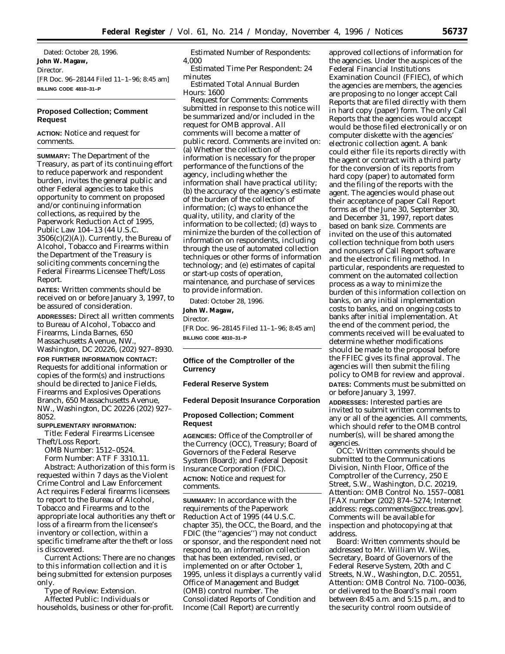Dated: October 28, 1996. **John W. Magaw,** *Director.* [FR Doc. 96–28144 Filed 11–1–96; 8:45 am] **BILLING CODE 4810–31–P**

# **Proposed Collection; Comment Request**

**ACTION:** Notice and request for comments.

**SUMMARY:** The Department of the Treasury, as part of its continuing effort to reduce paperwork and respondent burden, invites the general public and other Federal agencies to take this opportunity to comment on proposed and/or continuing information collections, as required by the Paperwork Reduction Act of 1995, Public Law 104–13 (44 U.S.C. 3506(c)(2)(A)). Currently, the Bureau of Alcohol, Tobacco and Firearms within the Department of the Treasury is soliciting comments concerning the Federal Firearms Licensee Theft/Loss Report.

**DATES:** Written comments should be received on or before January 3, 1997, to be assured of consideration.

**ADDRESSES:** Direct all written comments to Bureau of Alcohol, Tobacco and Firearms, Linda Barnes, 650 Massachusetts Avenue, NW., Washington, DC 20226, (202) 927–8930.

**FOR FURTHER INFORMATION CONTACT:** Requests for additional information or copies of the form(s) and instructions should be directed to Janice Fields, Firearms and Explosives Operations Branch, 650 Massachusetts Avenue, NW., Washington, DC 20226 (202) 927– 8052.

### **SUPPLEMENTARY INFORMATION:**

*Title:* Federal Firearms Licensee Theft/Loss Report.

*OMB Number:* 1512–0524. *Form Number:* ATF F 3310.11. *Abstract:* Authorization of this form is requested within 7 days as the Violent Crime Control and Law Enforcement Act requires Federal firearms licensees to report to the Bureau of Alcohol, Tobacco and Firearms and to the appropriate local authorities any theft or loss of a firearm from the licensee's inventory or collection, within a specific timeframe after the theft or loss is discovered.

*Current Actions:* There are no changes to this information collection and it is being submitted for extension purposes only.

*Type of Review:* Extension. *Affected Public:* Individuals or households, business or other for-profit.

*Estimated Number of Respondents:* 4,000

*Estimated Time Per Respondent:* 24 minutes

*Estimated Total Annual Burden Hours:* 1600

*Request for Comments:* Comments submitted in response to this notice will be summarized and/or included in the request for OMB approval. All comments will become a matter of public record. Comments are invited on: (a) Whether the collection of information is necessary for the proper performance of the functions of the agency, including whether the information shall have practical utility; (b) the accuracy of the agency's estimate of the burden of the collection of information; (c) ways to enhance the quality, utility, and clarity of the information to be collected; (d) ways to minimize the burden of the collection of information on respondents, including through the use of automated collection techniques or other forms of information technology; and (e) estimates of capital or start-up costs of operation, maintenance, and purchase of services to provide information.

Dated: October 28, 1996.

**John W. Magaw,**

*Director.*

[FR Doc. 96–28145 Filed 11–1–96; 8:45 am] **BILLING CODE 4810–31–P**

## **Office of the Comptroller of the Currency**

# **Federal Reserve System**

## **Federal Deposit Insurance Corporation**

## **Proposed Collection; Comment Request**

**AGENCIES:** Office of the Comptroller of the Currency (OCC), Treasury; Board of Governors of the Federal Reserve System (Board); and Federal Deposit Insurance Corporation (FDIC). **ACTION:** Notice and request for comments.

**SUMMARY:** In accordance with the requirements of the Paperwork Reduction Act of 1995 (44 U.S.C. chapter 35), the OCC, the Board, and the FDIC (the ''agencies'') may not conduct or sponsor, and the respondent need not respond to, an information collection that has been extended, revised, or implemented on or after October 1, 1995, unless it displays a currently valid Office of Management and Budget (OMB) control number. The Consolidated Reports of Condition and Income (Call Report) are currently

approved collections of information for the agencies. Under the auspices of the Federal Financial Institutions Examination Council (FFIEC), of which the agencies are members, the agencies are proposing to no longer accept Call Reports that are filed directly with them in hard copy (paper) form. The only Call Reports that the agencies would accept would be those filed electronically or on computer diskette with the agencies' electronic collection agent. A bank could either file its reports directly with the agent or contract with a third party for the conversion of its reports from hard copy (paper) to automated form and the filing of the reports with the agent. The agencies would phase out their acceptance of paper Call Report forms as of the June 30, September 30, and December 31, 1997, report dates based on bank size. Comments are invited on the use of this automated collection technique from both users and nonusers of Call Report software and the electronic filing method. In particular, respondents are requested to comment on the automated collection process as a way to minimize the burden of this information collection on banks, on any initial implementation costs to banks, and on ongoing costs to banks after initial implementation. At the end of the comment period, the comments received will be evaluated to determine whether modifications should be made to the proposal before the FFIEC gives its final approval. The agencies will then submit the filing policy to OMB for review and approval. **DATES:** Comments must be submitted on or before January 3, 1997.

**ADDRESSES:** Interested parties are invited to submit written comments to any or all of the agencies. All comments, which should refer to the OMB control number(s), will be shared among the agencies.

*OCC:* Written comments should be submitted to the Communications Division, Ninth Floor, Office of the Comptroller of the Currency, 250 E Street, S.W., Washington, D.C. 20219, Attention: OMB Control No. 1557–0081 [FAX number (202) 874–5274; Internet address: regs.comments@occ.treas.gov]. Comments will be available for inspection and photocopying at that address.

*Board:* Written comments should be addressed to Mr. William W. Wiles, Secretary, Board of Governors of the Federal Reserve System, 20th and C Streets, N.W., Washington, D.C. 20551, Attention: OMB Control No. 7100–0036, or delivered to the Board's mail room between 8:45 a.m. and 5:15 p.m., and to the security control room outside of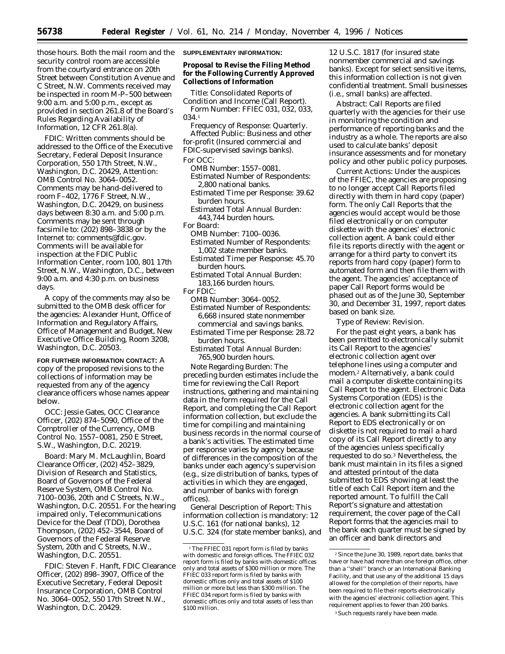those hours. Both the mail room and the security control room are accessible from the courtyard entrance on 20th Street between Constitution Avenue and C Street, N.W. Comments received may be inspected in room M-P–500 between 9:00 a.m. and 5:00 p.m., except as provided in section 261.8 of the Board's Rules Regarding Availability of Information, 12 CFR 261.8(a).

*FDIC:* Written comments should be addressed to the Office of the Executive Secretary, Federal Deposit Insurance Corporation, 550 17th Street, N.W., Washington, D.C. 20429, Attention: OMB Control No. 3064–0052. Comments may be hand-delivered to room F–402, 1776 F Street, N.W., Washington, D.C. 20429, on business days between 8:30 a.m. and 5:00 p.m. Comments may be sent through facsimile to: (202) 898–3838 or by the Internet to: comments@fdic.gov. Comments will be available for inspection at the FDIC Public Information Center, room 100, 801 17th Street, N.W., Washington, D.C., between 9:00 a.m. and 4:30 p.m. on business days.

A copy of the comments may also be submitted to the OMB desk officer for the agencies: Alexander Hunt, Office of Information and Regulatory Affairs, Office of Management and Budget, New Executive Office Building, Room 3208, Washington, D.C. 20503.

**FOR FURTHER INFORMATION CONTACT:** A copy of the proposed revisions to the collections of information may be requested from any of the agency clearance officers whose names appear below.

*OCC:* Jessie Gates, OCC Clearance Officer, (202) 874–5090, Office of the Comptroller of the Currency, OMB Control No. 1557–0081, 250 E Street, S.W., Washington, D.C. 20219.

*Board:* Mary M. McLaughlin, Board Clearance Officer, (202) 452–3829, Division of Research and Statistics, Board of Governors of the Federal Reserve System, OMB Control No. 7100–0036, 20th and C Streets, N.W., Washington, D.C. 20551. For the hearing impaired only, Telecommunications Device for the Deaf (TDD), Dorothea Thompson, (202) 452–3544, Board of Governors of the Federal Reserve System, 20th and C Streets, N.W., Washington, D.C. 20551.

*FDIC:* Steven F. Hanft, FDIC Clearance Officer, (202) 898–3907, Office of the Executive Secretary, Federal Deposit Insurance Corporation, OMB Control No. 3064–0052, 550 17th Street N.W., Washington, D.C. 20429.

#### **SUPPLEMENTARY INFORMATION:**

**Proposal to Revise the Filing Method for the Following Currently Approved Collections of Information**

*Title:* Consolidated Reports of Condition and Income (Call Report). *Form Number:* FFIEC 031, 032, 033, 034.1

*Frequency of Response:* Quarterly. *Affected Public:* Business and other for-profit (Insured commercial and

FDIC-supervised savings banks). *For OCC:*

*OMB Number:* 1557–0081.

*Estimated Number of Respondents:* 2,800 national banks.

- *Estimated Time per Response:* 39.62 burden hours.
- *Estimated Total Annual Burden:* 443,744 burden hours.

*For Board:*

- *OMB Number:* 7100–0036. *Estimated Number of Respondents:* 1,002 state member banks.
- *Estimated Time per Response:* 45.70 burden hours.
- *Estimated Total Annual Burden:* 183,166 burden hours.

*For FDIC:*

- *OMB Number:* 3064–0052.
- *Estimated Number of Respondents:* 6,668 insured state nonmember commercial and savings banks.
- *Estimated Time per Response:* 28.72 burden hours.
- *Estimated Total Annual Burden:* 765,900 burden hours.

*Note Regarding Burden:* The preceding burden estimates include the time for reviewing the Call Report instructions, gathering and maintaining data in the form required for the Call Report, and completing the Call Report information collection, but exclude the time for compiling and maintaining business records in the normal course of a bank's activities. The estimated time per response varies by agency because of differences in the composition of the banks under each agency's supervision (e.g., size distribution of banks, types of activities in which they are engaged, and number of banks with foreign offices).

*General Description of Report:* This information collection is mandatory: 12 U.S.C. 161 (for national banks), 12 U.S.C. 324 (for state member banks), and 12 U.S.C. 1817 (for insured state nonmember commercial and savings banks). Except for select sensitive items, this information collection is not given confidential treatment. Small businesses (i.e., small banks) are affected.

*Abstract:* Call Reports are filed quarterly with the agencies for their use in monitoring the condition and performance of reporting banks and the industry as a whole. The reports are also used to calculate banks' deposit insurance assessments and for monetary policy and other public policy purposes.

*Current Actions:* Under the auspices of the FFIEC, the agencies are proposing to no longer accept Call Reports filed directly with them in hard copy (paper) form. The only Call Reports that the agencies would accept would be those filed electronically or on computer diskette with the agencies' electronic collection agent. A bank could either file its reports directly with the agent or arrange for a third party to convert its reports from hard copy (paper) form to automated form and then file them with the agent. The agencies' acceptance of paper Call Report forms would be phased out as of the June 30, September 30, and December 31, 1997, report dates based on bank size.

*Type of Review:* Revision.

For the past eight years, a bank has been permitted to electronically submit its Call Report to the agencies' electronic collection agent over telephone lines using a computer and modem.2 Alternatively, a bank could mail a computer diskette containing its Call Report to the agent. Electronic Data Systems Corporation (EDS) is the electronic collection agent for the agencies. A bank submitting its Call Report to EDS electronically or on diskette is not required to mail a hard copy of its Call Report directly to any of the agencies unless specifically requested to do so.3 Nevertheless, the bank must maintain in its files a signed and attested printout of the data submitted to EDS showing at least the title of each Call Report item and the reported amount. To fulfill the Call Report's signature and attestation requirement, the cover page of the Call Report forms that the agencies mail to the bank each quarter must be signed by an officer and bank directors and

<sup>&</sup>lt;sup>1</sup>The FFIEC 031 report form is filed by banks with domestic and foreign offices. The FFIEC 032 report form is filed by banks with domestic offices only and total assets of \$300 million or more. The FFIEC 033 report form is filed by banks with domestic offices only and total assets of \$100 million or more but less than \$300 million. The FFIEC 034 report form is filed by banks with domestic offices only and total assets of less than \$100 million.

 $2$ Since the June 30, 1989, report date, banks that have or have had more than one foreign office, other than a ''shell'' branch or an International Banking Facility, and that use any of the additional 15 days allowed for the completion of their reports, have been required to file their reports electronically with the agencies' electronic collection agent. This requirement applies to fewer than 200 banks.

<sup>&</sup>lt;sup>3</sup> Such requests rarely have been made.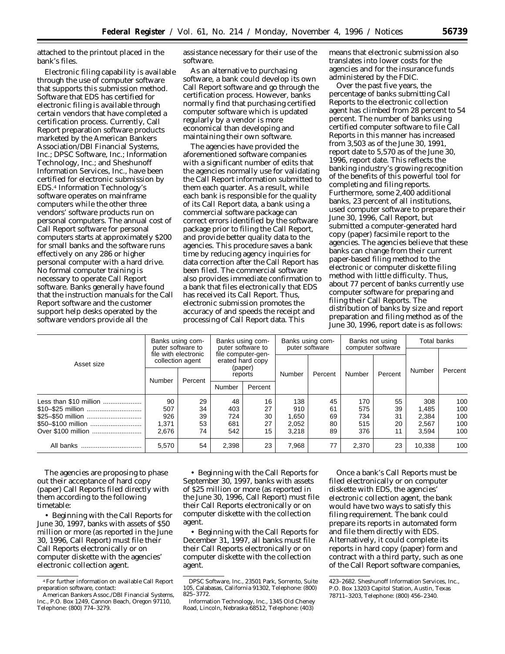attached to the printout placed in the bank's files.

Electronic filing capability is available through the use of computer software that supports this submission method. Software that EDS has certified for electronic filing is available through certain vendors that have completed a certification process. Currently, Call Report preparation software products marketed by the American Bankers Association/DBI Financial Systems, Inc.; DPSC Software, Inc.; Information Technology, Inc.; and Sheshunoff Information Services, Inc., have been certified for electronic submission by EDS.4 Information Technology's software operates on mainframe computers while the other three vendors' software products run on personal computers. The annual cost of Call Report software for personal computers starts at approximately \$200 for small banks and the software runs effectively on any 286 or higher personal computer with a hard drive. No formal computer training is necessary to operate Call Report software. Banks generally have found that the instruction manuals for the Call Report software and the customer support help desks operated by the software vendors provide all the

assistance necessary for their use of the software.

As an alternative to purchasing software, a bank could develop its own Call Report software and go through the certification process. However, banks normally find that purchasing certified computer software which is updated regularly by a vendor is more economical than developing and maintaining their own software.

The agencies have provided the aforementioned software companies with a significant number of edits that the agencies normally use for validating the Call Report information submitted to them each quarter. As a result, while each bank is responsible for the quality of its Call Report data, a bank using a commercial software package can correct errors identified by the software package prior to filing the Call Report, and provide better quality data to the agencies. This procedure saves a bank time by reducing agency inquiries for data correction after the Call Report has been filed. The commercial software also provides immediate confirmation to a bank that files electronically that EDS has received its Call Report. Thus, electronic submission promotes the accuracy of and speeds the receipt and processing of Call Report data. This

means that electronic submission also translates into lower costs for the agencies and for the insurance funds administered by the FDIC.

Over the past five years, the percentage of banks submitting Call Reports to the electronic collection agent has climbed from 28 percent to 54 percent. The number of banks using certified computer software to file Call Reports in this manner has increased from 3,503 as of the June 30, 1991, report date to 5,570 as of the June 30, 1996, report date. This reflects the banking industry's growing recognition of the benefits of this powerful tool for completing and filing reports. Furthermore, some 2,400 additional banks, 23 percent of all institutions, used computer software to prepare their June 30, 1996, Call Report, but submitted a computer-generated hard copy (paper) facsimile report to the agencies. The agencies believe that these banks can change from their current paper-based filing method to the electronic or computer diskette filing method with little difficulty. Thus, about 77 percent of banks currently use computer software for preparing and filing their Call Reports. The distribution of banks by size and report preparation and filing method as of the June 30, 1996, report date is as follows:

| Asset size             | Banks using com-<br>puter software to<br>file with electronic<br>collection agent |         | Banks using com-<br>puter software to<br>file computer-gen-<br>erated hard copy |         | Banks using com-<br>puter software |         | Banks not using<br>computer software |         | Total banks |         |
|------------------------|-----------------------------------------------------------------------------------|---------|---------------------------------------------------------------------------------|---------|------------------------------------|---------|--------------------------------------|---------|-------------|---------|
|                        |                                                                                   |         |                                                                                 |         |                                    |         |                                      |         |             |         |
|                        | Number                                                                            | Percent | (paper)<br>reports                                                              |         | Number                             | Percent | Number                               | Percent | Number      | Percent |
|                        |                                                                                   |         | Number                                                                          | Percent |                                    |         |                                      |         |             |         |
| Less than \$10 million | 90                                                                                | 29      | 48                                                                              | 16      | 138                                | 45      | 170                                  | 55      | 308         | 100     |
| \$10-\$25 million      | 507                                                                               | 34      | 403                                                                             | 27      | 910                                | 61      | 575                                  | 39      | 1.485       | 100     |
| \$25-\$50 million      | 926                                                                               | 39      | 724                                                                             | 30      | 1,650                              | 69      | 734                                  | 31      | 2.384       | 100     |
| \$50-\$100 million     | 1,371                                                                             | 53      | 681                                                                             | 27      | 2,052                              | 80      | 515                                  | 20      | 2,567       | 100     |
| Over \$100 million     | 2.676                                                                             | 74      | 542                                                                             | 15      | 3.218                              | 89      | 376                                  | 11      | 3.594       | 100     |
| All banks<br>          | 5,570                                                                             | 54      | 2,398                                                                           | 23      | 7,968                              | 77      | 2,370                                | 23      | 10.338      | 100     |

The agencies are proposing to phase out their acceptance of hard copy (paper) Call Reports filed directly with them according to the following timetable:

• Beginning with the Call Reports for June 30, 1997, banks with assets of \$50 million or more (as reported in the June 30, 1996, Call Report) must file their Call Reports electronically or on computer diskette with the agencies' electronic collection agent.

• Beginning with the Call Reports for September 30, 1997, banks with assets of \$25 million or more (as reported in the June 30, 1996, Call Report) must file their Call Reports electronically or on computer diskette with the collection agent.

• Beginning with the Call Reports for December 31, 1997, all banks must file their Call Reports electronically or on computer diskette with the collection agent.

Once a bank's Call Reports must be filed electronically or on computer diskette with EDS, the agencies' electronic collection agent, the bank would have two ways to satisfy this filing requirement. The bank could prepare its reports in automated form and file them directly with EDS. Alternatively, it could complete its reports in hard copy (paper) form and contract with a third party, such as one of the Call Report software companies,

<sup>4</sup>For further information on available Call Report preparation software, contact:

American Bankers Assoc./DBI Financial Systems, Inc., P.O. Box 1249, Cannon Beach, Oregon 97110, Telephone: (800) 774–3279.

DPSC Software, Inc., 23501 Park, Sorrento, Suite 105, Calabasas, California 91302, Telephone: (800) 825–3772.

Information Technology, Inc., 1345 Old Cheney Road, Lincoln, Nebraska 68512, Telephone: (403)

<sup>423–2682.</sup> Sheshunoff Information Services, Inc., P.O. Box 13203 Capitol Station, Austin, Texas 78711–3203, Telephone: (800) 456–2340.